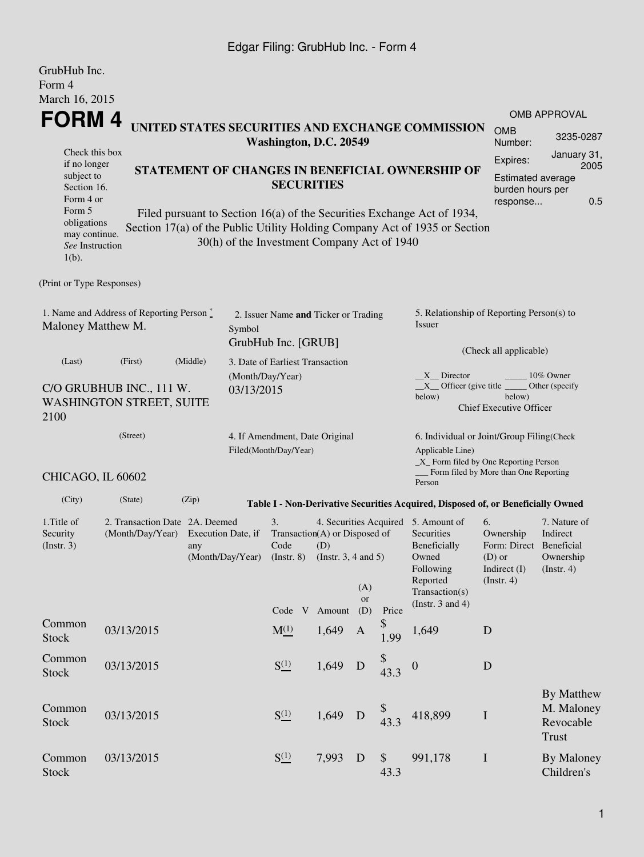## Edgar Filing: GrubHub Inc. - Form 4

| GrubHub Inc.<br>Form 4                                                                                                                            |                        |                                                                                                                                                                                                                                                                              |  |                                                             |                                                                                                    |                                                                            |                         |            |                                                                                                                                                       |                                                                                                                                                    |                                                       |  |  |
|---------------------------------------------------------------------------------------------------------------------------------------------------|------------------------|------------------------------------------------------------------------------------------------------------------------------------------------------------------------------------------------------------------------------------------------------------------------------|--|-------------------------------------------------------------|----------------------------------------------------------------------------------------------------|----------------------------------------------------------------------------|-------------------------|------------|-------------------------------------------------------------------------------------------------------------------------------------------------------|----------------------------------------------------------------------------------------------------------------------------------------------------|-------------------------------------------------------|--|--|
| March 16, 2015                                                                                                                                    |                        |                                                                                                                                                                                                                                                                              |  |                                                             |                                                                                                    |                                                                            |                         |            |                                                                                                                                                       |                                                                                                                                                    |                                                       |  |  |
| <b>FORM4</b>                                                                                                                                      |                        |                                                                                                                                                                                                                                                                              |  |                                                             |                                                                                                    |                                                                            |                         |            |                                                                                                                                                       |                                                                                                                                                    | OMB APPROVAL                                          |  |  |
|                                                                                                                                                   | Washington, D.C. 20549 |                                                                                                                                                                                                                                                                              |  | UNITED STATES SECURITIES AND EXCHANGE COMMISSION            | <b>OMB</b><br>Number:                                                                              | 3235-0287                                                                  |                         |            |                                                                                                                                                       |                                                                                                                                                    |                                                       |  |  |
| Check this box<br>if no longer<br>subject to<br>Section 16.<br>Form 4 or<br>Form 5<br>obligations<br>may continue.<br>See Instruction<br>$1(b)$ . |                        | STATEMENT OF CHANGES IN BENEFICIAL OWNERSHIP OF<br><b>SECURITIES</b><br>Filed pursuant to Section 16(a) of the Securities Exchange Act of 1934,<br>Section 17(a) of the Public Utility Holding Company Act of 1935 or Section<br>30(h) of the Investment Company Act of 1940 |  |                                                             | January 31,<br>Expires:<br>2005<br><b>Estimated average</b><br>burden hours per<br>0.5<br>response |                                                                            |                         |            |                                                                                                                                                       |                                                                                                                                                    |                                                       |  |  |
| (Print or Type Responses)                                                                                                                         |                        |                                                                                                                                                                                                                                                                              |  |                                                             |                                                                                                    |                                                                            |                         |            |                                                                                                                                                       |                                                                                                                                                    |                                                       |  |  |
| 1. Name and Address of Reporting Person*<br>Maloney Matthew M.<br>Symbol                                                                          |                        |                                                                                                                                                                                                                                                                              |  | 2. Issuer Name and Ticker or Trading<br>GrubHub Inc. [GRUB] |                                                                                                    |                                                                            |                         |            | 5. Relationship of Reporting Person(s) to<br>Issuer                                                                                                   |                                                                                                                                                    |                                                       |  |  |
| (Last)                                                                                                                                            | (First)                | (Middle)<br>3. Date of Earliest Transaction                                                                                                                                                                                                                                  |  |                                                             |                                                                                                    |                                                                            |                         |            | (Check all applicable)                                                                                                                                |                                                                                                                                                    |                                                       |  |  |
| C/O GRUBHUB INC., 111 W.<br>03/13/2015<br><b>WASHINGTON STREET, SUITE</b><br>2100                                                                 |                        |                                                                                                                                                                                                                                                                              |  | (Month/Day/Year)                                            |                                                                                                    |                                                                            |                         |            | $X$ Director<br>10% Owner<br>$X$ Officer (give title $\overline{\phantom{a}}$<br>Other (specify<br>below)<br>below)<br><b>Chief Executive Officer</b> |                                                                                                                                                    |                                                       |  |  |
| (Street)<br>4. If Amendment, Date Original<br>Filed(Month/Day/Year)                                                                               |                        |                                                                                                                                                                                                                                                                              |  |                                                             |                                                                                                    |                                                                            |                         |            | 6. Individual or Joint/Group Filing(Check<br>Applicable Line)<br>$\_X$ Form filed by One Reporting Person<br>Form filed by More than One Reporting    |                                                                                                                                                    |                                                       |  |  |
| CHICAGO, IL 60602                                                                                                                                 |                        |                                                                                                                                                                                                                                                                              |  |                                                             |                                                                                                    |                                                                            |                         |            | Person                                                                                                                                                |                                                                                                                                                    |                                                       |  |  |
| (City)                                                                                                                                            | (State)                | (Zip)                                                                                                                                                                                                                                                                        |  |                                                             |                                                                                                    |                                                                            |                         |            | Table I - Non-Derivative Securities Acquired, Disposed of, or Beneficially Owned                                                                      |                                                                                                                                                    |                                                       |  |  |
| 1. Title of<br>Security<br>$($ Instr. 3 $)$                                                                                                       | (Month/Day/Year)       | 2. Transaction Date 2A. Deemed<br>Execution Date, if<br>any<br>(Month/Day/Year)                                                                                                                                                                                              |  |                                                             | (D)<br>(Insert. 8)                                                                                 | Transaction(A) or Disposed of<br>(Instr. $3, 4$ and $5$ )<br>Code V Amount | (A)<br><b>or</b><br>(D) | Price      | 4. Securities Acquired 5. Amount of<br>Securities<br>Beneficially<br>Owned<br>Following<br>Reported<br>Transaction(s)<br>(Instr. $3$ and $4$ )        | 6.<br>7. Nature of<br>Ownership<br>Indirect<br>Form: Direct Beneficial<br>$(D)$ or<br>Ownership<br>Indirect (I)<br>(Insert. 4)<br>$($ Instr. 4 $)$ |                                                       |  |  |
| Common<br><b>Stock</b>                                                                                                                            | 03/13/2015             |                                                                                                                                                                                                                                                                              |  | $M_{-}^{(1)}$                                               |                                                                                                    | 1,649                                                                      | A                       | \$<br>1.99 | 1,649                                                                                                                                                 | D                                                                                                                                                  |                                                       |  |  |
| Common<br>Stock                                                                                                                                   | 03/13/2015             |                                                                                                                                                                                                                                                                              |  | $S^{(1)}_{-}$                                               |                                                                                                    | 1,649                                                                      | D                       | \$<br>43.3 | $\boldsymbol{0}$                                                                                                                                      | $\mathbf D$                                                                                                                                        |                                                       |  |  |
| Common<br>Stock                                                                                                                                   | 03/13/2015             |                                                                                                                                                                                                                                                                              |  | $S^{(1)}_{-}$                                               |                                                                                                    | 1,649                                                                      | $\mathbf D$             | 43.3       | 418,899                                                                                                                                               | $\bf I$                                                                                                                                            | By Matthew<br>M. Maloney<br>Revocable<br><b>Trust</b> |  |  |
| Common<br><b>Stock</b>                                                                                                                            | 03/13/2015             |                                                                                                                                                                                                                                                                              |  | $S^{(1)}_{-}$                                               |                                                                                                    | 7,993                                                                      | D                       | \$<br>43.3 | 991,178                                                                                                                                               | $\bf I$                                                                                                                                            | By Maloney<br>Children's                              |  |  |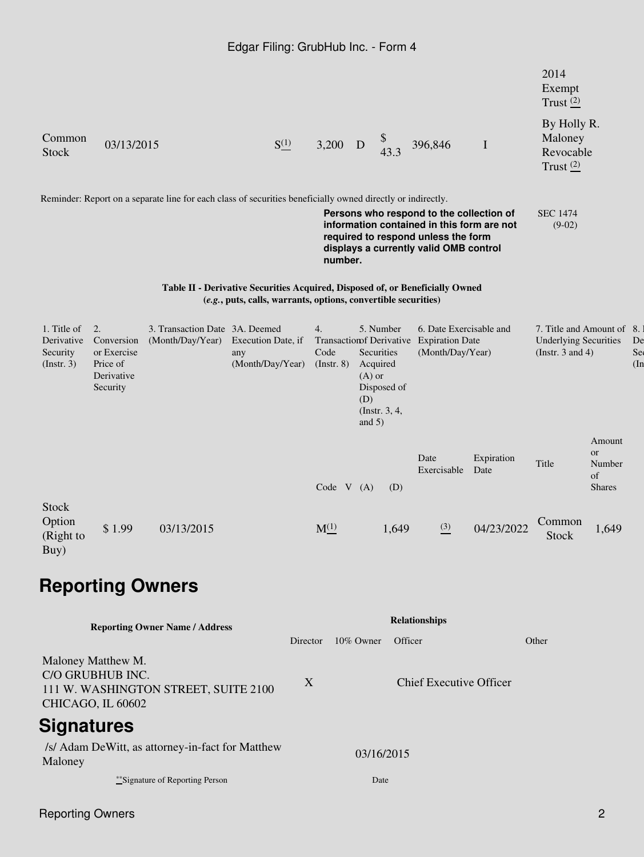|                                                      |                                                                       |                                                                                                             | Edgar Filing: GrubHub Inc. - Form 4                                                                                                             |                                |                                                                                                    |       |                                                                                                                                                                         |                            |                                                                                    |                                               |                 |
|------------------------------------------------------|-----------------------------------------------------------------------|-------------------------------------------------------------------------------------------------------------|-------------------------------------------------------------------------------------------------------------------------------------------------|--------------------------------|----------------------------------------------------------------------------------------------------|-------|-------------------------------------------------------------------------------------------------------------------------------------------------------------------------|----------------------------|------------------------------------------------------------------------------------|-----------------------------------------------|-----------------|
|                                                      |                                                                       |                                                                                                             |                                                                                                                                                 |                                |                                                                                                    |       |                                                                                                                                                                         |                            | 2014<br>Exempt<br>Trust $(2)$                                                      |                                               |                 |
| Common<br><b>Stock</b>                               | 03/13/2015                                                            |                                                                                                             | $S^{(1)}_{-}$                                                                                                                                   | 3,200                          | D                                                                                                  | 43.3  | 396,846                                                                                                                                                                 | $\mathbf I$                | By Holly R.<br>Maloney<br>Revocable<br>Trust $(2)$                                 |                                               |                 |
|                                                      |                                                                       | Reminder: Report on a separate line for each class of securities beneficially owned directly or indirectly. |                                                                                                                                                 |                                |                                                                                                    |       |                                                                                                                                                                         |                            |                                                                                    |                                               |                 |
|                                                      |                                                                       |                                                                                                             |                                                                                                                                                 | number.                        |                                                                                                    |       | Persons who respond to the collection of<br>information contained in this form are not<br>required to respond unless the form<br>displays a currently valid OMB control |                            | <b>SEC 1474</b><br>$(9-02)$                                                        |                                               |                 |
|                                                      |                                                                       |                                                                                                             | Table II - Derivative Securities Acquired, Disposed of, or Beneficially Owned<br>(e.g., puts, calls, warrants, options, convertible securities) |                                |                                                                                                    |       |                                                                                                                                                                         |                            |                                                                                    |                                               |                 |
| 1. Title of<br>Derivative<br>Security<br>(Insert. 3) | 2.<br>Conversion<br>or Exercise<br>Price of<br>Derivative<br>Security | 3. Transaction Date 3A. Deemed<br>(Month/Day/Year)                                                          | Execution Date, if<br>any<br>(Month/Day/Year)                                                                                                   | 4.<br>Code<br>$($ Instr. 8 $)$ | 5. Number<br>Securities<br>Acquired<br>$(A)$ or<br>Disposed of<br>(D)<br>(Instr. 3, 4,<br>and $5)$ |       | 6. Date Exercisable and<br>Transaction f Derivative Expiration Date<br>(Month/Day/Year)                                                                                 |                            | 7. Title and Amount of 8.<br><b>Underlying Securities</b><br>(Instr. $3$ and $4$ ) |                                               | De<br>Se<br>(In |
|                                                      |                                                                       |                                                                                                             |                                                                                                                                                 | Code V (A)                     |                                                                                                    | (D)   | Date<br>Exercisable                                                                                                                                                     | Expiration<br>Date         | Title                                                                              | Amount<br>or<br>Number<br>of<br><b>Shares</b> |                 |
| <b>Stock</b><br>Option<br>(Right to<br>Buy)          | \$1.99                                                                | 03/13/2015                                                                                                  |                                                                                                                                                 | $M^{(1)}$                      |                                                                                                    | 1,649 |                                                                                                                                                                         | $\frac{(3)}{2}$ 04/23/2022 | Common<br>Stock                                                                    | 1,649                                         |                 |
|                                                      |                                                                       | <b>Reporting Owners</b>                                                                                     |                                                                                                                                                 |                                |                                                                                                    |       |                                                                                                                                                                         |                            |                                                                                    |                                               |                 |
|                                                      |                                                                       | <b>Reporting Owner Name / Address</b>                                                                       |                                                                                                                                                 |                                |                                                                                                    |       | <b>Relationships</b>                                                                                                                                                    |                            |                                                                                    |                                               |                 |

|                                                                                                     | Director         | $10\%$ Owner | Officer                 | Other |  |  |
|-----------------------------------------------------------------------------------------------------|------------------|--------------|-------------------------|-------|--|--|
| Maloney Matthew M.<br>C/O GRUBHUB INC.<br>111 W. WASHINGTON STREET, SUITE 2100<br>CHICAGO, IL 60602 | $\boldsymbol{X}$ |              | Chief Executive Officer |       |  |  |
| <b>Signatures</b>                                                                                   |                  |              |                         |       |  |  |
| /s/ Adam DeWitt, as attorney-in-fact for Matthew<br>Maloney                                         | 03/16/2015       |              |                         |       |  |  |
| ***Signature of Reporting Person                                                                    |                  | Date         |                         |       |  |  |